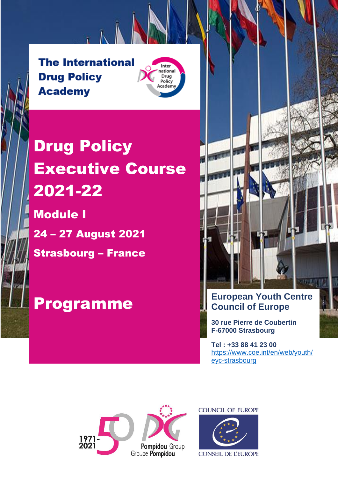**The International Drug Policy Academy** 



# Drug Policy Executive Course 2021-22

 $h$ 

Module I 24 – 27 August 2021 Strasbourg – France



## **30 rue Pierre de Coubertin F-67000 Strasbourg**

**Tel : +33 88 41 23 00** [https://www.coe.int/en/web/youth/](https://www.coe.int/en/web/youth/eyc-strasbourg) [eyc-strasbourg](https://www.coe.int/en/web/youth/eyc-strasbourg)



**COUNCIL OF EUROPE** 



**CONSEIL DE L'EUROPE**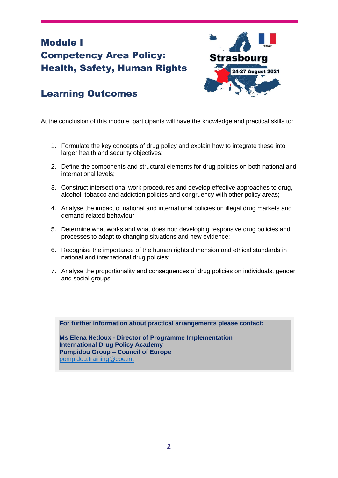## Module I Competency Area Policy: Health, Safety, Human Rights



## Learning Outcomes

At the conclusion of this module, participants will have the knowledge and practical skills to:

- 1. Formulate the key concepts of drug policy and explain how to integrate these into larger health and security objectives;
- 2. Define the components and structural elements for drug policies on both national and international levels;
- 3. Construct intersectional work procedures and develop effective approaches to drug, alcohol, tobacco and addiction policies and congruency with other policy areas;
- 4. Analyse the impact of national and international policies on illegal drug markets and demand-related behaviour;
- 5. Determine what works and what does not: developing responsive drug policies and processes to adapt to changing situations and new evidence;
- 6. Recognise the importance of the human rights dimension and ethical standards in national and international drug policies;
- 7. Analyse the proportionality and consequences of drug policies on individuals, gender and social groups.

**For further information about practical arrangements please contact:**

**Ms Elena Hedoux - Director of Programme Implementation International Drug Policy Academy Pompidou Group – Council of Europe** [pompidou.training@coe.int](mailto:pompidou.training@coe.int)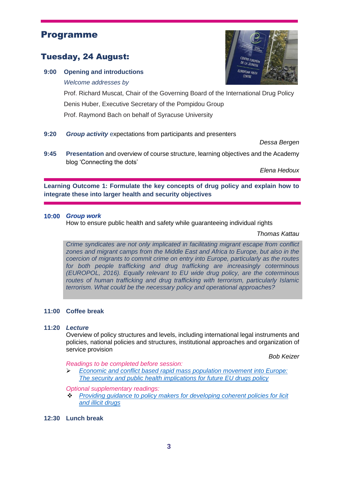## Programme

## Tuesday, 24 August:

**9:00 Opening and introductions**

*Welcome addresses by*

Prof. Richard Muscat, Chair of the Governing Board of the International Drug Policy Denis Huber, Executive Secretary of the Pompidou Group Prof. Raymond Bach on behalf of Syracuse University

### **9:20** *Group activity* expectations from participants and presenters

**9:45 Presentation** and overview of course structure, learning objectives and the Academy blog 'Connecting the dots'

*Elena Hedoux*

**Learning Outcome 1: Formulate the key concepts of drug policy and explain how to integrate these into larger health and security objectives**

#### **10:00** *Group work*

How to ensure public health and safety while guaranteeing individual rights

*Thomas Kattau*

*Crime syndicates are not only implicated in facilitating migrant escape from conflict zones and migrant camps from the Middle East and Africa to Europe, but also in the coercion of migrants to commit crime on entry into Europe, particularly as the routes for both people trafficking and drug trafficking are increasingly coterminous (EUROPOL, 2016). Equally relevant to EU wide drug policy, are the coterminous routes of human trafficking and drug trafficking with terrorism, particularly Islamic terrorism. What could be the necessary policy and operational approaches?*

#### **11:00 Coffee break**

#### **11:20** *Lecture*

Overview of policy structures and levels, including international legal instruments and policies, national policies and structures, institutional approaches and organization of service provision

*Bob Keizer*

*Readings to be completed before session:* 

➢ *[Economic and conflict based rapid mass population movement into Europe:](https://mycloud.coe.int/s/CqyJQZfLdP4qLjG)  [The security and public health implications for future EU drugs policy](https://mycloud.coe.int/s/CqyJQZfLdP4qLjG)*

*Optional supplementary readings:*

- ❖ *[Providing guidance to policy makers for developing coherent policies for licit](https://mycloud.coe.int/s/GtcpGMMjP4wko8L)  [and illicit drugs](https://mycloud.coe.int/s/GtcpGMMjP4wko8L)*
- **12:30 Lunch break**



*Dessa Bergen*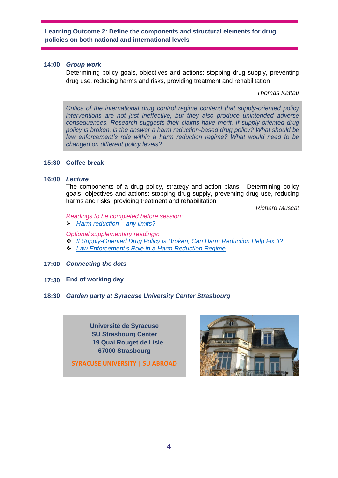**Learning Outcome 2: Define the components and structural elements for drug policies on both national and international levels**

#### **14:00** *Group work*

Determining policy goals, objectives and actions: stopping drug supply, preventing drug use, reducing harms and risks, providing treatment and rehabilitation

*Thomas Kattau* 

*Critics of the international drug control regime contend that supply-oriented policy interventions are not just ineffective, but they also produce unintended adverse consequences. Research suggests their claims have merit. If supply-oriented drug policy is broken, is the answer a harm reduction-based drug policy? What should be law enforcement's role within a harm reduction regime? What would need to be changed on different policy levels?*

#### **15:30 Coffee break**

#### **16:00** *Lecture*

The components of a drug policy, strategy and action plans - Determining policy goals, objectives and actions: stopping drug supply, preventing drug use, reducing harms and risks, providing treatment and rehabilitation

*Richard Muscat*

*Readings to be completed before session:*  ➢ *[Harm reduction –](https://mycloud.coe.int/s/ZdMx47DSoytTzD9) any limits?*

*Optional supplementary readings:*

- ❖ *[If Supply-Oriented Drug Policy is Broken, Can Harm Reduction Help Fix It?](https://mycloud.coe.int/s/m9m9xC8e6QWJiZD)*
- ❖ *[Law Enforcement's Role in a Harm Reduction Regime](https://mycloud.coe.int/s/d76jMdw9FFjTbjf)*
- **17:00** *Connecting the dots*
- **17:30 End of working day**
- **18:30** *Garden party at Syracuse University Center Strasbourg*

**Université de Syracuse SU Strasbourg Center 19 Quai Rouget de Lisle 67000 Strasbourg**

**SYRACUSE UNIVERSITY | SU ABROAD**

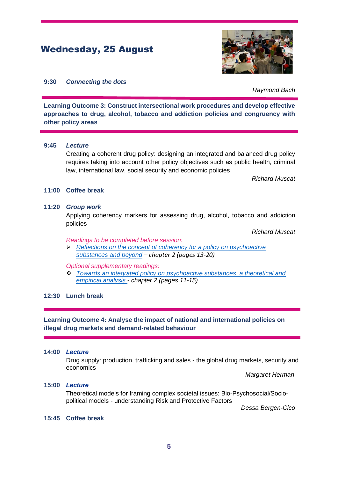## Wednesday, 25 August



#### **9:30** *Connecting the dots*

*Raymond Bach*

**Learning Outcome 3: Construct intersectional work procedures and develop effective approaches to drug, alcohol, tobacco and addiction policies and congruency with other policy areas**

#### **9:45** *Lecture*

Creating a coherent drug policy: designing an integrated and balanced drug policy requires taking into account other policy objectives such as public health, criminal law, international law, social security and economic policies

*Richard Muscat*

#### **11:00 Coffee break**

#### **11:20** *Group work*

Applying coherency markers for assessing drug, alcohol, tobacco and addiction policies

*Richard Muscat*

#### *Readings to be completed before session:*

➢ *[Reflections on the concept of coherency for a policy on psychoactive](https://mycloud.coe.int/s/FnwY6kYBkYntm9a)  [substances and beyond](https://mycloud.coe.int/s/FnwY6kYBkYntm9a) – chapter 2 (pages 13-20)*

*Optional supplementary readings:*

❖ *[Towards an integrated policy on psychoactive substances: a theoretical and](https://mycloud.coe.int/s/iEKEBftskstkTS2)  [empirical analysis](https://mycloud.coe.int/s/iEKEBftskstkTS2) - chapter 2 (pages 11-15)*

#### **12:30 Lunch break**

**Learning Outcome 4: Analyse the impact of national and international policies on illegal drug markets and demand-related behaviour**

#### **14:00** *Lecture*

Drug supply: production, trafficking and sales - the global drug markets, security and economics

*Margaret Herman*

#### **15:00** *Lecture*

Theoretical models for framing complex societal issues: Bio-Psychosocial/Sociopolitical models - understanding Risk and Protective Factors

*Dessa Bergen-Cico*

#### **15:45 Coffee break**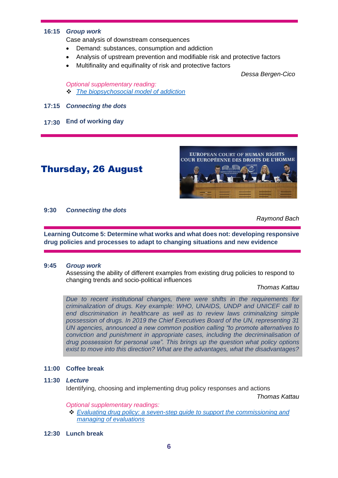#### **16:15** *Group work*

Case analysis of downstream consequences

- Demand: substances, consumption and addiction
- Analysis of upstream prevention and modifiable risk and protective factors
- Multifinality and equifinality of risk and protective factors

*Dessa Bergen-Cico*

*Optional supplementary reading:* ❖ *[The biopsychosocial model of addiction](https://mycloud.coe.int/s/cy7cyeCRntN7pLW)*

- **17:15** *Connecting the dots*
- **17:30 End of working day**

## Thursday, 26 August



#### **9:30** *Connecting the dots*

*Raymond Bach*

**Learning Outcome 5: Determine what works and what does not: developing responsive drug policies and processes to adapt to changing situations and new evidence**

#### **9:45** *Group work*

Assessing the ability of different examples from existing drug policies to respond to changing trends and socio-political influences

*Thomas Kattau*

*Due to recent institutional changes, there were shifts in the requirements for criminalization of drugs. Key example: WHO, UNAIDS, UNDP and UNICEF call to end discrimination in healthcare as well as to review laws criminalizing simple possession of drugs. In 2019 the Chief Executives Board of the UN, representing 31 UN agencies, announced a new common position calling "to promote alternatives to conviction and punishment in appropriate cases, including the decriminalisation of drug possession for personal use". This brings up the question what policy options exist to move into this direction? What are the advantages, what the disadvantages?* 

#### **11:00 Coffee break**

#### **11:30** *Lecture*

Identifying, choosing and implementing drug policy responses and actions

*Thomas Kattau*

*Optional supplementary readings:*

- ❖ *[Evaluating drug policy: a seven-step guide to support the commissioning and](https://mycloud.coe.int/s/mHsxQHdTBGFcDMW)  [managing of evaluations](https://mycloud.coe.int/s/mHsxQHdTBGFcDMW)*
- **12:30 Lunch break**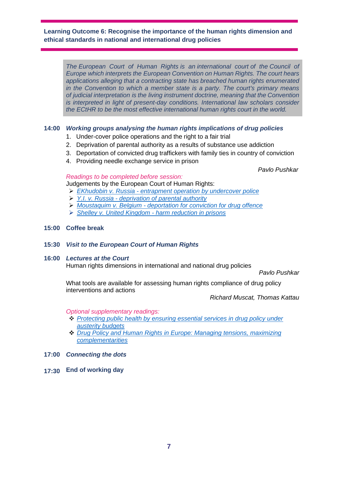#### **Learning Outcome 6: Recognise the importance of the human rights dimension and ethical standards in national and international drug policies**

*The European Court of Human Rights is an international court of the Council of Europe which interprets the European Convention on Human Rights. The court hears applications alleging that a contracting state has breached human rights enumerated in the Convention to which a member state is a party. The court's primary means of judicial interpretation is the living instrument doctrine, meaning that the Convention is interpreted in light of present-day conditions. International law scholars consider the ECtHR to be the most effective international human rights court in the world.* 

#### **14:00** *Working groups analysing the human rights implications of drug policies*

- 1. Under-cover police operations and the right to a fair trial
- 2. Deprivation of parental authority as a results of substance use addiction
- 3. Deportation of convicted drug traffickers with family ties in country of conviction
- 4. Providing needle exchange service in prison

*Pavlo Pushkar*

#### *Readings to be completed before session:*  Judgements by the European Court of Human Rights:

- ➢ *EKhudobin v. Russia - [entrapment operation by undercover police](https://mycloud.coe.int/s/tK2myLSKwz4SW8i)*
- ➢ *Y.I. v. Russia - [deprivation of parental authority](https://mycloud.coe.int/s/2EL5L6nScGNtyMo)*
- ➢ *Moustaquim v. Belgium - [deportation for conviction for drug offence](https://mycloud.coe.int/s/TcCzeog9XEnjAdq)*
- ➢ *[Shelley v. United Kingdom -](https://mycloud.coe.int/s/56YyMwFarcFLDKS) harm reduction in prisons*

#### **15:00 Coffee break**

**15:30** *Visit to the European Court of Human Rights*

#### **16:00** *Lectures at the Court*

Human rights dimensions in international and national drug policies

*Pavlo Pushkar*

What tools are available for assessing human rights compliance of drug policy interventions and actions

*Richard Muscat, Thomas Kattau*

*Optional supplementary readings:*

- ❖ *[Protecting public health by ensuring essential services in drug policy under](https://mycloud.coe.int/s/FzSweftS7izKLbR)  [austerity budgets](https://mycloud.coe.int/s/FzSweftS7izKLbR)*
- ❖ *Drug Policy and Human [Rights in Europe: Managing tensions, maximizing](https://mycloud.coe.int/s/6qQ9DR5C9JzwH3G)  [complementarities](https://mycloud.coe.int/s/6qQ9DR5C9JzwH3G)*
- **17:00** *Connecting the dots*
- **17:30 End of working day**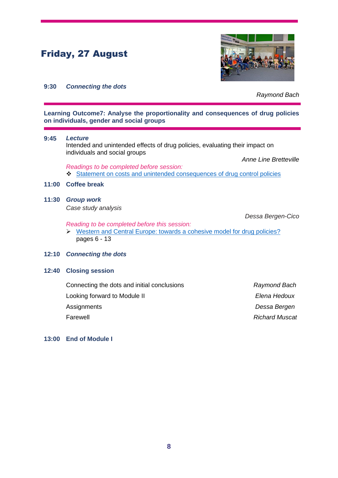## Friday, 27 August



#### **9:30** *Connecting the dots*

*Raymond Bach*

**Learning Outcome7: Analyse the proportionality and consequences of drug policies on individuals, gender and social groups**

#### **9:45** *Lecture*

Intended and unintended effects of drug policies, evaluating their impact on individuals and social groups

*Anne Line Bretteville*

*Readings to be completed before session:* ❖ [Statement on costs and unintended consequences](https://mycloud.coe.int/s/bNTnps2cx3ZCzX4) of drug control policies

#### **11:00 Coffee break**

**11:30** *Group work*

*Case study analysis*

*Dessa Bergen-Cico*

*Reading to be completed before this session:*

➢ [Western and Central Europe: towards a cohesive model for drug policies?](https://mycloud.coe.int/s/zp9MoHXeaSQPnSH) pages 6 - 13

#### **12:10** *Connecting the dots*

#### **12:40 Closing session**

| Raymond Bach          |
|-----------------------|
| Elena Hedoux          |
| Dessa Bergen          |
| <b>Richard Muscat</b> |
|                       |

#### **13:00 End of Module I**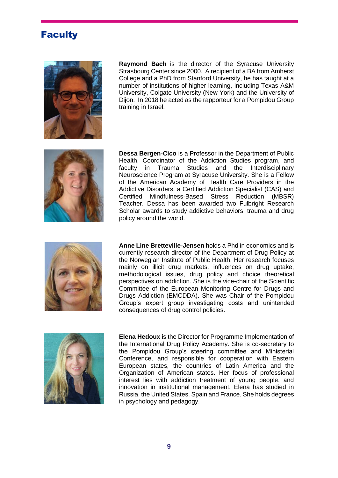## **Faculty**



**Raymond Bach** is the director of the Syracuse University Strasbourg Center since 2000. A recipient of a BA from Amherst College and a PhD from Stanford University, he has taught at a number of institutions of higher learning, including Texas A&M University, Colgate University (New York) and the University of Dijon. In 2018 he acted as the rapporteur for a Pompidou Group training in Israel.



**Dessa Bergen-Cico** is a Professor in the Department of Public Health, Coordinator of the Addiction Studies program, and faculty in Trauma Studies and the Interdisciplinary Neuroscience Program at Syracuse University. She is a Fellow of the American Academy of Health Care Providers in the Addictive Disorders, a Certified Addiction Specialist (CAS) and Certified Mindfulness-Based Stress Reduction (MBSR) Teacher. Dessa has been awarded two Fulbright Research Scholar awards to study addictive behaviors, trauma and drug policy around the world.



**Anne Line Bretteville-Jensen** holds a Phd in economics and is currently research director of the Department of Drug Policy at the Norwegian Institute of Public Health. Her research focuses mainly on illicit drug markets, influences on drug uptake, methodological issues, drug policy and choice theoretical perspectives on addiction. She is the vice-chair of the Scientific Committee of the European Monitoring Centre for Drugs and Drugs Addiction (EMCDDA). She was Chair of the Pompidou Group's expert group investigating costs and unintended consequences of drug control policies.



**Elena Hedoux** is the Director for Programme Implementation of the International Drug Policy Academy. She is co-secretary to the Pompidou Group's steering committee and Ministerial Conference, and responsible for cooperation with Eastern European states, the countries of Latin America and the Organization of American states. Her focus of professional interest lies with addiction treatment of young people, and innovation in institutional management. Elena has studied in Russia, the United States, Spain and France. She holds degrees in psychology and pedagogy.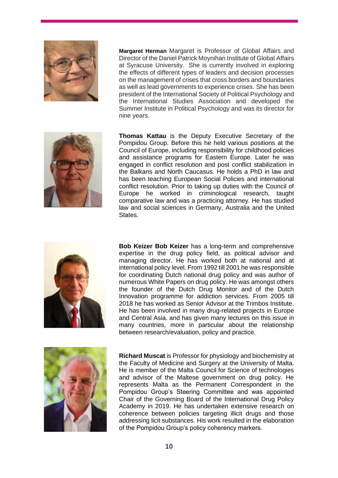

**Margaret Herman** Margaret is Professor of Global Affairs and Director of the Daniel Patrick Moynihan Institute of Global Affairs at Syracuse University. She is currently involved in exploring the effects of different types of leaders and decision processes on the management of crises that cross borders and boundaries as well as lead governments to experience crises. She has been president of the International Society of Political Psychology and the International Studies Association and developed the Summer Institute in Political Psychology and was its director for nine years.



**Thomas Kattau** is the Deputy Executive Secretary of the Pompidou Group. Before this he held various positions at the Council of Europe, including responsibility for childhood policies and assistance programs for Eastern Europe. Later he was engaged in conflict resolution and post conflict stabilization in the Balkans and North Caucasus. He holds a PhD in law and has been teaching European Social Policies and international conflict resolution. Prior to taking up duties with the Council of Europe he worked in criminological research, taught comparative law and was a practicing attorney. He has studied law and social sciences in Germany, Australia and the United States.



**Bob Keizer Bob Keizer** has a long-term and comprehensive expertise in the drug policy field, as political advisor and managing director. He has worked both at national and at international policy level. From 1992 till 2001 he was responsible for coordinating Dutch national drug policy and was author of numerous White Papers on drug policy. He was amongst others the founder of the Dutch Drug Monitor and of the Dutch Innovation programme for addiction services. From 2005 till 2018 he has worked as Senior Advisor at the Trimbos Institute. He has been involved in many drug-related projects in Europe and Central Asia. and has given many lectures on this issue in many countries, more in particular about the relationship between research/evaluation, policy and practice.



**Richard Muscat** is Professor for physiology and biochemistry at the Faculty of Medicine and Surgery at the University of Malta. He is member of the Malta Council for Science of technologies and advisor of the Maltese government on drug policy. He represents Malta as the Permanent Correspondent in the Pompidou Group's Steering Committee and was appointed Chair of the Governing Board of the International Drug Policy Academy in 2019. He has undertaken extensive research on coherence between policies targeting illicit drugs and those addressing licit substances. His work resulted in the elaboration of the Pompidou Group's policy coherency markers.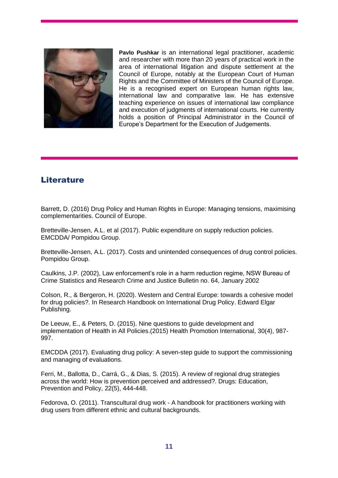

**Pavlo Pushkar** is an international legal practitioner, academic and researcher with more than 20 years of practical work in the area of international litigation and dispute settlement at the Council of Europe, notably at the European Court of Human Rights and the Committee of Ministers of the Council of Europe. He is a recognised expert on European human rights law, international law and comparative law. He has extensive teaching experience on issues of international law compliance and execution of judgments of international courts. He currently holds a position of Principal Administrator in the Council of Europe's Department for the Execution of Judgements.

## **Literature**

Barrett, D. (2016) Drug Policy and Human Rights in Europe: Managing tensions, maximising complementarities. Council of Europe.

Bretteville-Jensen, A.L. et al (2017). Public expenditure on supply reduction policies. EMCDDA/ Pompidou Group.

Bretteville-Jensen, A.L. (2017). Costs and unintended consequences of drug control policies. Pompidou Group.

Caulkins, J.P. (2002), Law enforcement's role in a harm reduction regime, NSW Bureau of Crime Statistics and Research Crime and Justice Bulletin no. 64, January 2002

Colson, R., & Bergeron, H. (2020). Western and Central Europe: towards a cohesive model for drug policies?. In Research Handbook on International Drug Policy. Edward Elgar Publishing.

De Leeuw, E., & Peters, D. (2015). Nine questions to guide development and implementation of Health in All Policies.(2015) Health Promotion International, 30(4), 987- 997.

EMCDDA (2017). Evaluating drug policy: A seven-step guide to support the commissioning and managing of evaluations.

Ferri, M., Ballotta, D., Carrá, G., & Dias, S. (2015). A review of regional drug strategies across the world: How is prevention perceived and addressed?. Drugs: Education, Prevention and Policy, 22(5), 444-448.

Fedorova, O. (2011). Transcultural drug work - A handbook for practitioners working with drug users from different ethnic and cultural backgrounds.